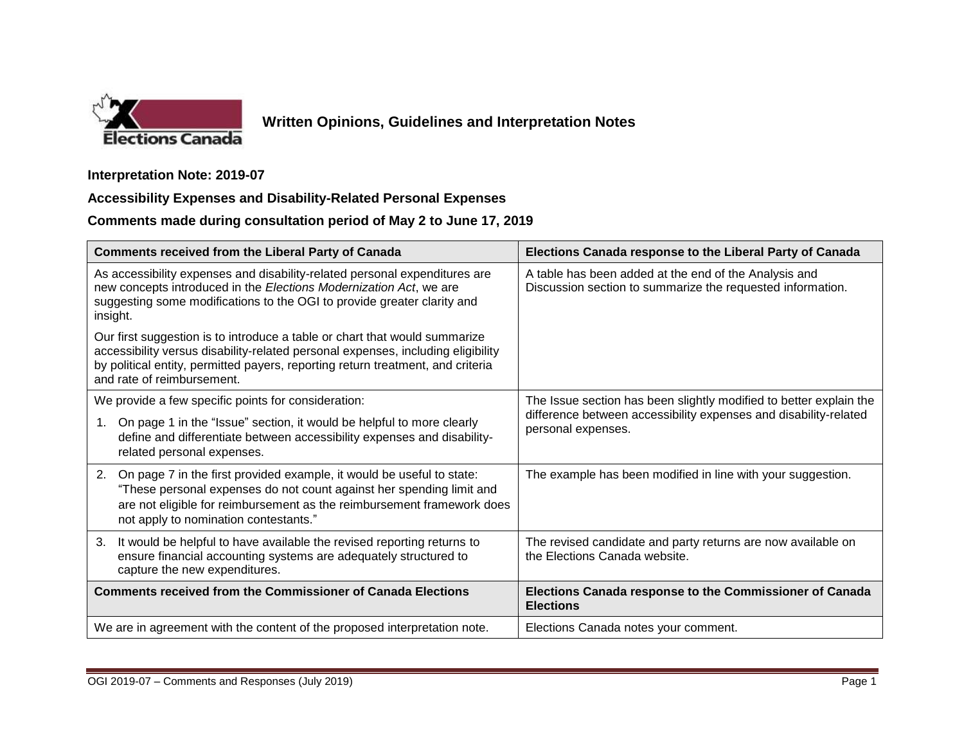

## **Written Opinions, Guidelines and Interpretation Notes**

## **Interpretation Note: 2019-07**

## **Accessibility Expenses and Disability-Related Personal Expenses**

**Comments made during consultation period of May 2 to June 17, 2019**

| <b>Comments received from the Liberal Party of Canada</b>                                                                                                                                                                                                                       | Elections Canada response to the Liberal Party of Canada                                                                                                     |
|---------------------------------------------------------------------------------------------------------------------------------------------------------------------------------------------------------------------------------------------------------------------------------|--------------------------------------------------------------------------------------------------------------------------------------------------------------|
| As accessibility expenses and disability-related personal expenditures are<br>new concepts introduced in the Elections Modernization Act, we are<br>suggesting some modifications to the OGI to provide greater clarity and<br>insight.                                         | A table has been added at the end of the Analysis and<br>Discussion section to summarize the requested information.                                          |
| Our first suggestion is to introduce a table or chart that would summarize<br>accessibility versus disability-related personal expenses, including eligibility<br>by political entity, permitted payers, reporting return treatment, and criteria<br>and rate of reimbursement. |                                                                                                                                                              |
| We provide a few specific points for consideration:                                                                                                                                                                                                                             | The Issue section has been slightly modified to better explain the<br>difference between accessibility expenses and disability-related<br>personal expenses. |
| On page 1 in the "Issue" section, it would be helpful to more clearly<br>define and differentiate between accessibility expenses and disability-<br>related personal expenses.                                                                                                  |                                                                                                                                                              |
| On page 7 in the first provided example, it would be useful to state:<br>2.<br>"These personal expenses do not count against her spending limit and<br>are not eligible for reimbursement as the reimbursement framework does<br>not apply to nomination contestants."          | The example has been modified in line with your suggestion.                                                                                                  |
| It would be helpful to have available the revised reporting returns to<br>3.<br>ensure financial accounting systems are adequately structured to<br>capture the new expenditures.                                                                                               | The revised candidate and party returns are now available on<br>the Elections Canada website.                                                                |
| <b>Comments received from the Commissioner of Canada Elections</b>                                                                                                                                                                                                              | Elections Canada response to the Commissioner of Canada<br><b>Elections</b>                                                                                  |
| We are in agreement with the content of the proposed interpretation note.                                                                                                                                                                                                       | Elections Canada notes your comment.                                                                                                                         |